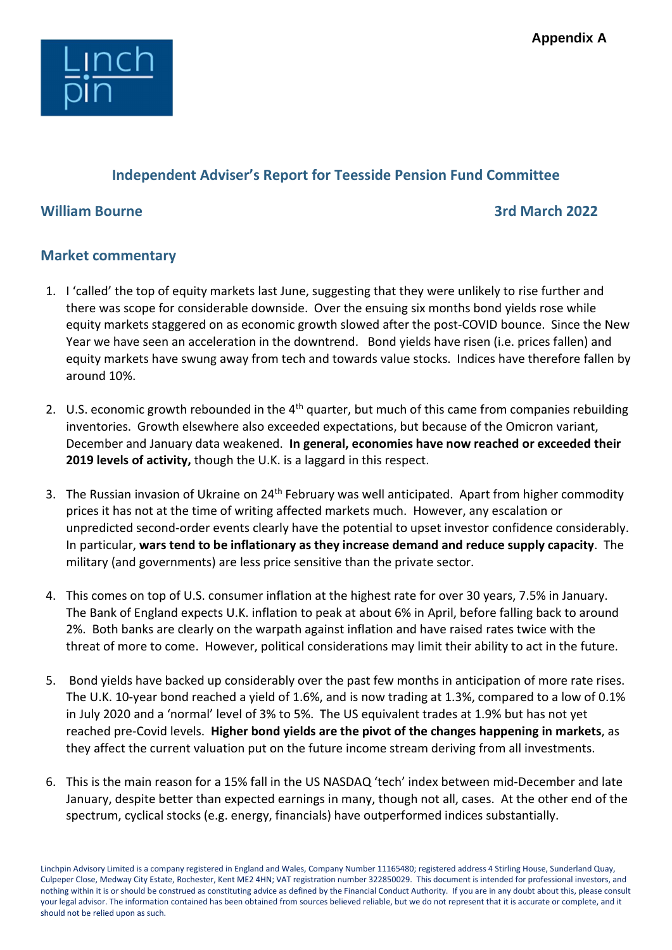

## Independent Adviser's Report for Teesside Pension Fund Committee

## William Bourne 3rd March 2022 **3rd March 2022**

## Market commentary

- 1. I 'called' the top of equity markets last June, suggesting that they were unlikely to rise further and there was scope for considerable downside. Over the ensuing six months bond yields rose while equity markets staggered on as economic growth slowed after the post-COVID bounce. Since the New Year we have seen an acceleration in the downtrend. Bond yields have risen (i.e. prices fallen) and equity markets have swung away from tech and towards value stocks. Indices have therefore fallen by around 10%.
- 2. U.S. economic growth rebounded in the  $4<sup>th</sup>$  quarter, but much of this came from companies rebuilding inventories. Growth elsewhere also exceeded expectations, but because of the Omicron variant, December and January data weakened. In general, economies have now reached or exceeded their 2019 levels of activity, though the U.K. is a laggard in this respect.
- 3. The Russian invasion of Ukraine on 24<sup>th</sup> February was well anticipated. Apart from higher commodity prices it has not at the time of writing affected markets much. However, any escalation or unpredicted second-order events clearly have the potential to upset investor confidence considerably. In particular, wars tend to be inflationary as they increase demand and reduce supply capacity. The military (and governments) are less price sensitive than the private sector.
- 4. This comes on top of U.S. consumer inflation at the highest rate for over 30 years, 7.5% in January. The Bank of England expects U.K. inflation to peak at about 6% in April, before falling back to around 2%. Both banks are clearly on the warpath against inflation and have raised rates twice with the threat of more to come. However, political considerations may limit their ability to act in the future.
- 5. Bond yields have backed up considerably over the past few months in anticipation of more rate rises. The U.K. 10-year bond reached a yield of 1.6%, and is now trading at 1.3%, compared to a low of 0.1% in July 2020 and a 'normal' level of 3% to 5%. The US equivalent trades at 1.9% but has not yet reached pre-Covid levels. Higher bond yields are the pivot of the changes happening in markets, as they affect the current valuation put on the future income stream deriving from all investments.
- 6. This is the main reason for a 15% fall in the US NASDAQ 'tech' index between mid-December and late January, despite better than expected earnings in many, though not all, cases. At the other end of the spectrum, cyclical stocks (e.g. energy, financials) have outperformed indices substantially.

Linchpin Advisory Limited is a company registered in England and Wales, Company Number 11165480; registered address 4 Stirling House, Sunderland Quay, Culpeper Close, Medway City Estate, Rochester, Kent ME2 4HN; VAT registration number 322850029. This document is intended for professional investors, and nothing within it is or should be construed as constituting advice as defined by the Financial Conduct Authority. If you are in any doubt about this, please consult your legal advisor. The information contained has been obtained from sources believed reliable, but we do not represent that it is accurate or complete, and it should not be relied upon as such.